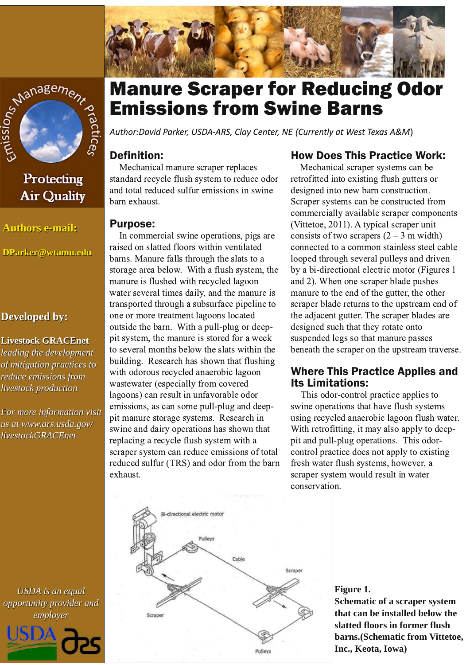



# Protecting **Air Quality**

**Authors e-mail:** 

DParker@wtamu.edu

#### **Developed by:**

#### **Livestock GRACEnet**

leading the development of mitigation practices to reduce emissions from livestock production

For more information visit us at www.ars.usda.gov/ *livestockGRACEnet* 

# **Manure Scraper for Reducing Odor Emissions from Swine Barns**

Author:David Parker, USDA-ARS, Clay Center, NE (Currently at West Texas A&M)

## **Definition:**

Mechanical manure scraper replaces standard recycle flush system to reduce odor and total reduced sulfur emissions in swine barn exhaust.

#### **Purpose:**

In commercial swine operations, pigs are raised on slatted floors within ventilated barns. Manure falls through the slats to a storage area below. With a flush system, the manure is flushed with recycled lagoon water several times daily, and the manure is transported through a subsurface pipeline to one or more treatment lagoons located outside the barn. With a pull-plug or deeppit system, the manure is stored for a week to several months below the slats within the building. Research has shown that flushing with odorous recycled anaerobic lagoon wastewater (especially from covered lagoons) can result in unfavorable odor emissions, as can some pull-plug and deeppit manure storage systems. Research in swine and dairy operations has shown that replacing a recycle flush system with a scraper system can reduce emissions of total reduced sulfur (TRS) and odor from the barn exhaust.

#### **How Does This Practice Work:**

Mechanical scraper systems can be retrofitted into existing flush gutters or designed into new barn construction. Scraper systems can be constructed from commercially available scraper components (Vittetoe, 2011). A typical scraper unit consists of two scrapers  $(2 – 3 m \text{ width})$ connected to a common stainless steel cable looped through several pulleys and driven by a bi-directional electric motor (Figures 1) and 2). When one scraper blade pushes manure to the end of the gutter, the other scraper blade returns to the upstream end of the adjacent gutter. The scraper blades are designed such that they rotate onto suspended legs so that manure passes beneath the scraper on the upstream traverse.

#### **Where This Practice Applies and Its Limitations:**

This odor-control practice applies to swine operations that have flush systems using recycled anaerobic lagoon flush water. With retrofitting, it may also apply to deeppit and pull-plug operations. This odorcontrol practice does not apply to existing fresh water flush systems, however, a scraper system would result in water conservation.



#### Figure 1.

Schematic of a scraper system that can be installed below the slatted floors in former flush barns. (Schematic from Vittetoe, Inc., Keota, Iowa)

**USDA** is an equal opportunity provider and employer